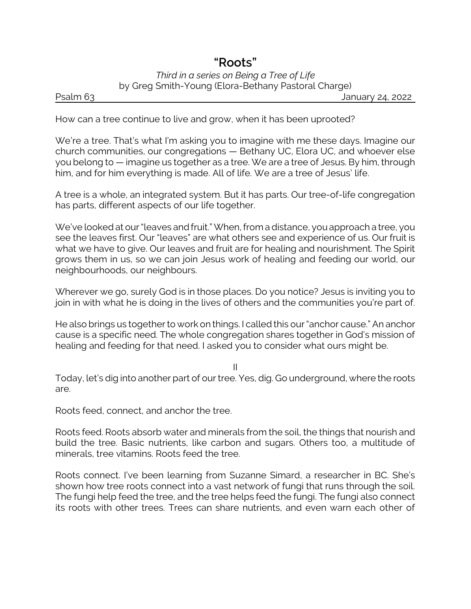## *"Roots" Third in a series on Being a Tree of Life* by Greg Smith-Young (Elora-Bethany Pastoral Charge)

Psalm 63 January 24, 2022

How can a tree continue to live and grow, when it has been uprooted?

We're a tree. That's what I'm asking you to imagine with me these days. Imagine our church communities, our congregations — Bethany UC, Elora UC, and whoever else you belong to — imagine us together as a tree. We are a tree of Jesus. By him, through him, and for him everything is made. All of life. We are a tree of Jesus' life.

A tree is a whole, an integrated system. But it has parts. Our tree-of-life congregation has parts, different aspects of our life together.

We've looked at our "leaves and fruit." When, from a distance, you approach a tree, you see the leaves first. Our "leaves" are what others see and experience of us. Our fruit is what we have to give. Our leaves and fruit are for healing and nourishment. The Spirit grows them in us, so we can join Jesus work of healing and feeding our world, our neighbourhoods, our neighbours.

Wherever we go, surely God is in those places. Do you notice? Jesus is inviting you to join in with what he is doing in the lives of others and the communities you're part of.

He also brings us together to work on things. I called this our "anchor cause." An anchor cause is a specific need. The whole congregation shares together in God's mission of healing and feeding for that need. I asked you to consider what ours might be.

II

Today, let's dig into another part of our tree. Yes, dig. Go underground, where the roots are.

Roots feed, connect, and anchor the tree.

Roots feed. Roots absorb water and minerals from the soil, the things that nourish and build the tree. Basic nutrients, like carbon and sugars. Others too, a multitude of minerals, tree vitamins. Roots feed the tree.

Roots connect. I've been learning from Suzanne Simard, a researcher in BC. She's shown how tree roots connect into a vast network of fungi that runs through the soil. The fungi help feed the tree, and the tree helps feed the fungi. The fungi also connect its roots with other trees. Trees can share nutrients, and even warn each other of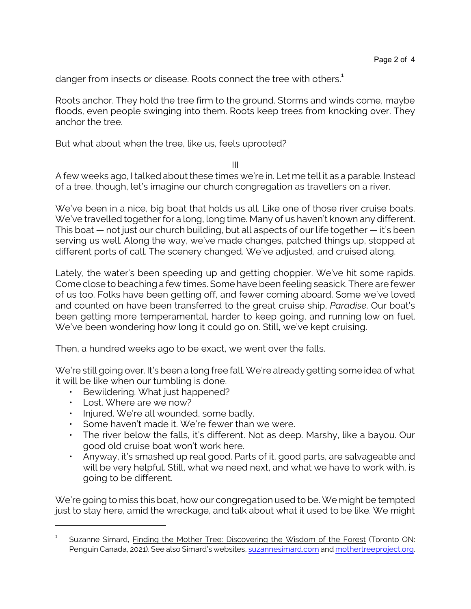danger from insects or disease. Roots connect the tree with others.<sup>1</sup>

Roots anchor. They hold the tree firm to the ground. Storms and winds come, maybe floods, even people swinging into them. Roots keep trees from knocking over. They anchor the tree.

But what about when the tree, like us, feels uprooted?

III

A few weeks ago, I talked about these times we're in. Let me tell it as a parable. Instead of a tree, though, let's imagine our church congregation as travellers on a river.

We've been in a nice, big boat that holds us all. Like one of those river cruise boats. We've travelled together for a long, long time. Many of us haven't known any different. This boat — not just our church building, but all aspects of our life together — it's been serving us well. Along the way, we've made changes, patched things up, stopped at different ports of call. The scenery changed. We've adjusted, and cruised along.

Lately, the water's been speeding up and getting choppier. We've hit some rapids. Come close to beaching a few times. Some have been feeling seasick. There are fewer of us too. Folks have been getting off, and fewer coming aboard. Some we've loved and counted on have been transferred to the great cruise ship, *Paradise*. Our boat's been getting more temperamental, harder to keep going, and running low on fuel. We've been wondering how long it could go on. Still, we've kept cruising.

Then, a hundred weeks ago to be exact, we went over the falls.

We're still going over. It's been a long free fall. We're already getting some idea of what it will be like when our tumbling is done.

- Bewildering. What just happened?
- Lost. Where are we now?
- Injured. We're all wounded, some badly.
- Some haven't made it. We're fewer than we were.
- The river below the falls, it's different. Not as deep. Marshy, like a bayou. Our good old cruise boat won't work here.
- Anyway, it's smashed up real good. Parts of it, good parts, are salvageable and will be very helpful. Still, what we need next, and what we have to work with, is going to be different.

We're going to miss this boat, how our congregation used to be. We might be tempted just to stay here, amid the wreckage, and talk about what it used to be like. We might

<sup>1</sup> Suzanne Simard, Finding the Mother Tree: Discovering the Wisdom of the Forest (Toronto ON: Penguin Canada, 2021). See also Simard's websites, [suzannesimard.com](https://suzannesimard.com/) and [mothertreeproject.org](https://mothertreeproject.org/).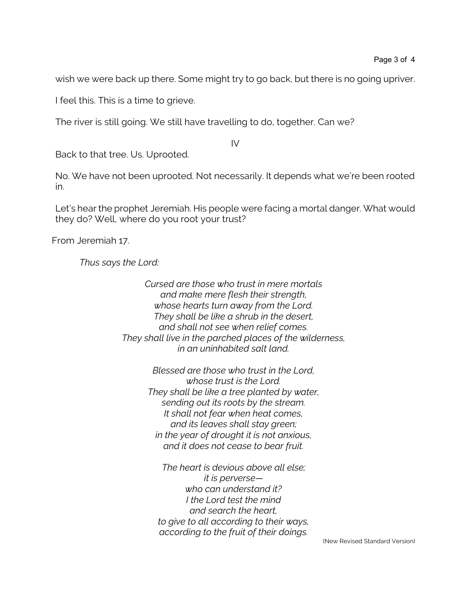wish we were back up there. Some might try to go back, but there is no going upriver.

I feel this. This is a time to grieve.

The river is still going. We still have travelling to do, together. Can we?

IV

Back to that tree. Us. Uprooted.

No. We have not been uprooted. Not necessarily. It depends what we're been rooted in.

Let's hear the prophet Jeremiah. His people were facing a mortal danger. What would they do? Well, where do you root your trust?

From Jeremiah 17.

*Thus says the Lord:*

*Cursed are those who trust in mere mortals and make mere flesh their strength, whose hearts turn away from the Lord. They shall be like a shrub in the desert, and shall not see when relief comes. They shall live in the parched places of the wilderness, in an uninhabited salt land.*

> *Blessed are those who trust in the Lord, whose trust is the Lord. They shall be like a tree planted by water, sending out its roots by the stream. It shall not fear when heat comes, and its leaves shall stay green; in the year of drought it is not anxious, and it does not cease to bear fruit.*

*The heart is devious above all else; it is perverse who can understand it? I the Lord test the mind and search the heart, to give to all according to their ways, according to the fruit of their doings.*

(New Revised Standard Version)